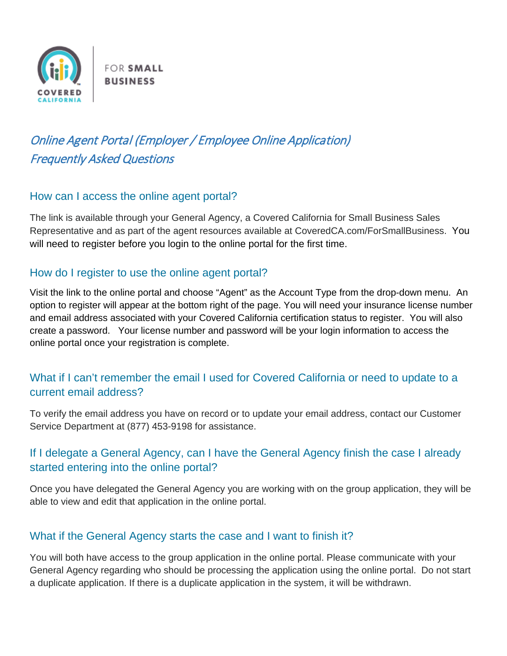

**FOR SMALL BUSINESS** 

# Online Agent Portal (Employer / Employee Online Application) Frequently Asked Questions

# How can I access the online agent portal?

The link is available through your General Agency, a Covered California for Small Business Sales Representative and as part of the agent resources available at CoveredCA.com/ForSmallBusiness. You will need to register before you login to the online portal for the first time.

# How do I register to use the online agent portal?

Visit the link to the online portal and choose "Agent" as the Account Type from the drop-down menu. An option to register will appear at the bottom right of the page. You will need your insurance license number and email address associated with your Covered California certification status to register. You will also create a password. Your license number and password will be your login information to access the online portal once your registration is complete.

# What if I can't remember the email I used for Covered California or need to update to a current email address?

To verify the email address you have on record or to update your email address, contact our Customer Service Department at (877) 453-9198 for assistance.

# If I delegate a General Agency, can I have the General Agency finish the case I already started entering into the online portal?

Once you have delegated the General Agency you are working with on the group application, they will be able to view and edit that application in the online portal.

# What if the General Agency starts the case and I want to finish it?

You will both have access to the group application in the online portal. Please communicate with your General Agency regarding who should be processing the application using the online portal. Do not start a duplicate application. If there is a duplicate application in the system, it will be withdrawn.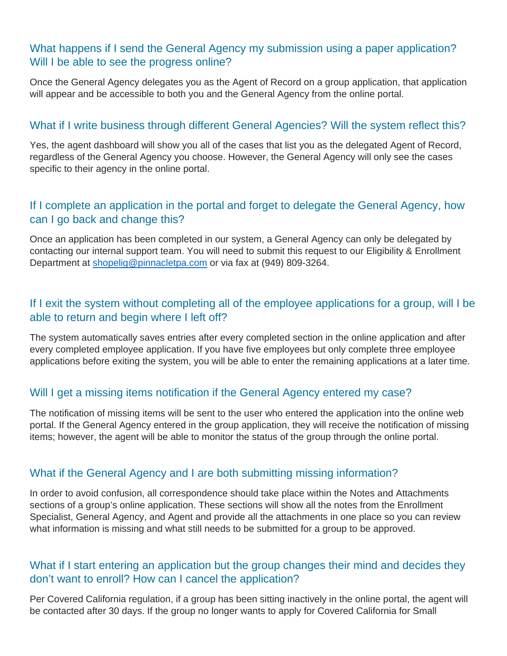# What happens if I send the General Agency my submission using a paper application? Will I be able to see the progress online?

Once the General Agency delegates you as the Agent of Record on a group application, that application will appear and be accessible to both you and the General Agency from the online portal.

#### What if I write business through different General Agencies? Will the system reflect this?

Yes, the agent dashboard will show you all of the cases that list you as the delegated Agent of Record, regardless of the General Agency you choose. However, the General Agency will only see the cases specific to their agency in the online portal.

## If I complete an application in the portal and forget to delegate the General Agency, how can I go back and change this?

Once an application has been completed in our system, a General Agency can only be delegated by contacting our internal support team. You will need to submit this request to our Eligibility & Enrollment Department at [shopelig@pinnacletpa.com](mailto:shopelig@pinnacletpa.com) or via fax at (949) 809-3264.

# If I exit the system without completing all of the employee applications for a group, will I be able to return and begin where I left off?

The system automatically saves entries after every completed section in the online application and after every completed employee application. If you have five employees but only complete three employee applications before exiting the system, you will be able to enter the remaining applications at a later time.

# Will I get a missing items notification if the General Agency entered my case?

The notification of missing items will be sent to the user who entered the application into the online web portal. If the General Agency entered in the group application, they will receive the notification of missing items; however, the agent will be able to monitor the status of the group through the online portal.

## What if the General Agency and I are both submitting missing information?

In order to avoid confusion, all correspondence should take place within the Notes and Attachments sections of a group's online application. These sections will show all the notes from the Enrollment Specialist, General Agency, and Agent and provide all the attachments in one place so you can review what information is missing and what still needs to be submitted for a group to be approved.

## What if I start entering an application but the group changes their mind and decides they don't want to enroll? How can I cancel the application?

Per Covered California regulation, if a group has been sitting inactively in the online portal, the agent will be contacted after 30 days. If the group no longer wants to apply for Covered California for Small